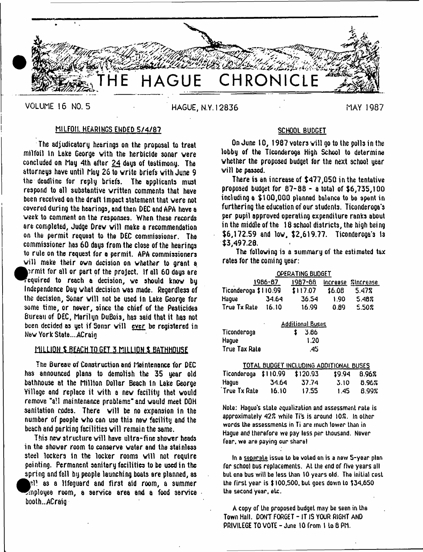

VOLUME 16 NO. 5 **HAGUE, N.Y.12836** MAY 1987

# MILFOIL HEARINGS ENDED 5/4/87

The adjudicatory hearings on the proposal to treat milfoil in Lake George vith the herbicide sonar vere concluded on May 4th after 24 days of testimony. The attorneys have until May 26 to write briefs vith June 9 the deadline for reply briefs. The applicants must respond to all substantive written comments that have been received on the draft impact statement that vere not covered during the hearings, arid then DEC and APA have a week to comment on the responses. When these records are completed. Judge Drew will make a recommendation on the permit request to the DEC commissioner. The commissioner has 60 days from the close of the hearings to rule on the request for a permit. APA commissioners will make their own decision on whether to grant a prmit for all or part of the project. If all 60 days are Fequired to reach a decision, we should know by Independence Day what decision was made. Regardless of the decision, Sonar will not be used in Lake George for some time, or never, since the chief of the Pesticides Bureau of DEC, Marilyn DuBois, has said that it has not been decided as yet if Sonar will ever be registered in New York State....ACrain

# M1LUDH S BEACH TO GET 5 MILLION \$ BATHHOUSE

Tne Bureau of Construction and Maintenance for DEC has announced plans to demolish the 35 year old bathhouse at the Million Dollar Beach in Lake George Village and replace it vith a new facility that would remove "all maintenance problems" and would meet DOH sanitation codes. There will be no expansion in the number of people who can use this new facility and the beach and parking facilities will remain the same.

This new structure will have ultra-fine shower heads in the shower room to conserve water and the stainless steel lockers tn the locker rooms will not require painting. Permanent sanitary facilities to be used in the spring and fall by people launching boats are planned, as Ml as a lifeguard and first aid room, a summer Employee room, a service area and a food service booth...ACraig

# SCHOOL BUDGET

On June 10, 1987 voters will go to the polls in the lobby of the Ticonderoga High School to determine whether the proposed budget for the next school year will be passed.

There is an increase of \$477,050 in the tentative proposed budget for 87-88 - a total of \$6,735,100 including a \$100,000 planned balance to be spent in furthering the education of our students. Ticonderoga'a per pupil approved operating expenditure ranks about in the middle of the 18 school districts, the high being \$6,172.59 and low, \$2,619.77. Ticonderoga's Is \$3,497.20.

The following is a summary of the estimated tax rates for the coming year:

|                                                     |       | OPERATING BUDGET |        |                    |  |  |  |  |
|-----------------------------------------------------|-------|------------------|--------|--------------------|--|--|--|--|
| 1986-87                                             |       | 1987-66          |        | Increase Zincrease |  |  |  |  |
| Ticonderoga \$110.99                                |       | \$117.07         | \$6.08 | 5.47%              |  |  |  |  |
| Hague                                               | 34.64 | 36.54            | 1.90   | 5.48%              |  |  |  |  |
| True Tx Rate                                        | 16.10 | 16.99            | 0.89   | 5.50%              |  |  |  |  |
| <b>Additional Buses</b><br>٠<br>Ticonderoga<br>3.66 |       |                  |        |                    |  |  |  |  |

| Ticonderoga   | - 3.66 |
|---------------|--------|
| Hague         | 1.20   |
| True Tax Rate | -45    |

| TOTAL BUDGET INCLUDING ADDITIONAL BUSES |       |       |              |       |  |  |  |
|-----------------------------------------|-------|-------|--------------|-------|--|--|--|
| $Ticonderoqa$ $$110.99$ $$120.93$       |       |       | \$9.94 8.962 |       |  |  |  |
| Haque                                   | 34.64 | 37.74 | 3.10         | 8.96% |  |  |  |
| True Tx Rate                            | 16.10 | 17.55 | 1.45         | 8.99% |  |  |  |

Note: Hague's state equalization and assessment rate is approximately 422 while Ti's is around 102. In other words the assessments in Ti are much lower than in Hague and therefore we pay less per thousand. Never fear, we are paying our share!

In a **separate** issue to be voted on is a new 5-year plan for school bus replacements. At the end of five years all but one bus will be less than 10 years old. The initial cost the first year is \$ 100.500, but goes down Lo \$34,650 the second year, etc.

A copy of the proposed budget may be seen in the Town Hall. DONT FORGET - IT IS YOUR RIGHT AND PRIVILEGE TO VOTE - June 10 from 1 to 8 PM.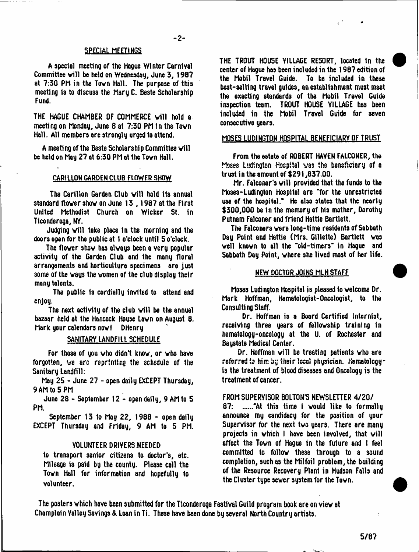# SPECIAL MEETINGS

A special meeting of the Hague Winter Carnival Committee will be held on Wednesday, June 3, 1987 at 7:30 PM in the Town Hall. The purpose of this meeting Is to discuss the Mary C. Beste Scholarship fund.

THE HAGUE CHAMBER OF COMMERCE will hold a meeting on Monday, June 8 at 7:30 PM In the Tovn Hall. All members are strongly urged to attend.

A meeting of the Beste Scholarship Committee will be held on May 27 at 6:30 PM at the Tovn Hall.

# CARILLON GARDEN CLUB FLOWER SHOW

The Carillon Garden Club will hold its annual standard flover shov on June 13 , 1987 at the First United Methodist Church on Wicker St. in Ticonderoga, NY.

Judging will take place in the morning and the doors open for the public at 1 o'clock until 5 o'clock.

The flover shov has alvays been a very popular activity of the Garden Club and the many floral arrangements and horticulture specimens are just some of the ways the women of the club display their many talents.

The public is cordially invited to attend and enjoy.

The next activity of the club will be the annual bazaar held at the Hancock House Lavn on August 8. Mark your calendars now! DHenry

## SANITARY LANDFILL SCHEDULE

For those of you vho didn't know, or vho have forgotten, ve arc reprinting the schedule of the Sanitary Landfill:

May 25 - June 27 - open daily EXCEPT Thursday, 9 AM to 5 PM

June 28 - September 12 - open daily, 9 AM to 5 PM.

September 13 to May 22, 1988 - open daily EXCEPT Thursday and Friday, 9 AM to 5 PM.

## VOLUNTEER DRIYERS NEEDED

to transport senior citizens to doctor's, etc. Mileage is paid bu the county. Please call the Tovn Hall for information and hopefully to volunteer.

THE TROUT HOUSE Y1LLAGE RESORT, located In the center of Hague has been included in the 1987 edition of the Mobil Travel Guide. To be included in these best-selling travel guides, an establishment must meet the exacting standards of the Mobil Travel Guide inspection team. TROUT HOUSE VILLAGE has been included in the Mobil Travel Guide for seven consecutive years.

# MOSES LUDINGTON HOSPITAL BENEFICIARY OF TRUST

From the estate of ROBERT HAVEN FALCONER, the Moses Ludington Hospital was the beneficiary of a trust in the amount of \$291,837.00.

Mr. Falconer's will provided that the funds to the Moses-Ludington Hospital are "for the unrestricted use of the hospital." He also states that the nearly \$300,000 be in the memory of his mother, Dorothy Putnam Falconer and friend Hattie Bartlett.

The Falconers vere long-time residents of Sabbath Day Point and Hattie (Mrs. Gillette) Bartlett vas veil known to all the "old-timers" in Hague and Sabbath Day Point, where she lived most of her life.

## NEW DOCTOR JOINS MLH STAFF

Moses Ludington Hospital is pleased to velcome Dr. Mark Hoffman, Hematologist-Oncologist, to the Consulting Staff.

Dr. Hoffman is a Board Certified Internist, receiving three years of fellowship training in hematology-oncology at the U. of Rochester and Baystate Medical Center.

Dr. Hoffman will be treating patients who are referred to him by their local physician. Hematologyis the treatment of blood diseases and Oncology is the treatment of cancer.

# FROM SUPERVISOR BOLTON'S NEWSLETTER 4/20/

87: ......"At this time I would like to formally announce my candidacy for the position of your Supervisor for the next two years. There are many projects in which I have been involved, that will affect the Town of Hague in the future and I feel committed to follow these through to a sound completion, such as the Milfoil problem, the building of the Resource Recovery Plant in Hudson Falls and the Cluster type sever system for the Tovn.

The posters which have been submitted for the Ticonderoga Festival Guild program book are on view at Champlain Valley Savings & Loan in Ti. These have been done by several North Country artists.

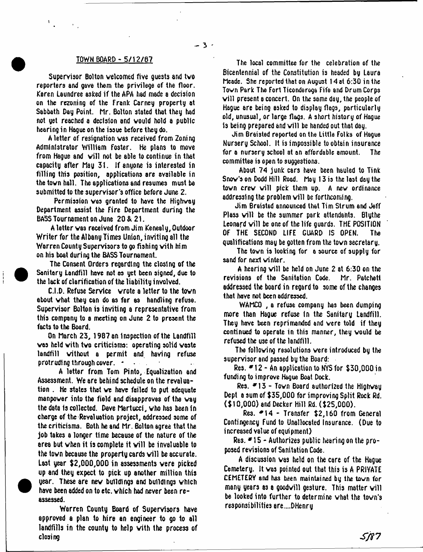$-3$   $-$ 

 $\mathbf{t}_{\text{max}}$ 

Supervisor Bolton welcomed five guests and tvo reporters and gave them the privilege of the floor. Karen Laundree asked if the APA had made a decision on the rezoning of the frank Carney property at Sabbath Day Point. Mr. Bolton stated that they had not yet reached a decision and would hold a public hearing in Hague on the issue before they do.

A letter of resignation was received from Zoning Administrator William foster. He plans to move from Hague and will not be able to continue in that capacity after May 31. If anyone is interested in filling this position, applications are available in the town hall. The applications and resumes must be submitted to the supervisor's office before June 2.

Permission was granted to have the Highway Department assist the fire Department during the BASS Tournament on June 20 & 21.

A letter was received from Jim Kenealy, Outdoor Writer for the Albany Times Union, inviting all the Warren County Supervisors to go fishing vith him on his boat during the BASS Tournament.

The Consent Orders regarding the closing of the Sanitary Landfill have not as yet been signed, due to the lack of clarification of the liability involved.

C.I.D. Refuse Service wrote a letter to the town about what they can do as far as handling refuse. Supervisor Bolton is inviting a representative from this company to a meeting on June 2 to present the facts to the Board.

On March 23, 1987 an Inspection of the Landfill was held vith two criticisms: operating solid waste landfill without a permit and having refuse protruding through cover.  $\rightarrow$ 

A letter from Tom Pinto, Equalization and Assessment. We are behind schedule on the revaluation . He states that we have failed to put adequate manpower into the field and disapproves of the way the data ts collected. Dave Martucci, who has been In charge of the Revaluation project, addressed some of the criticisms. Both he and Mr. Bolton agree that the job takes a longer time because of the nature of the area but when it is complete it will be invaluable to the town because the property cards will be accurate. Last year \$2,000,000 in assessments vere picked up and they expect to pick up another million this year. These are new buildings and buildings which have been added on to etc. which had never been reassessed.

Warren County Board of Supervisors have approved a plan to hire an engineer to go to all landfills in the county to help with the process of closing

TOWN BOARD - 5/12/87 Bicentennial of the Constitution is headed by Laura Meade. She reported that on August 14 at 6:30 in the Tovn Park The Fort Ticonderoga Fife and Drum Corps will present a concert. On the same day, the people of Hague are being asked to display flags, particularly old, unusual, or large flags. A short history of Hague 1s being prepared and will be handed out that day.

> Jim Braisted reported on the Little Folks of Hague Nursery School. It is impossible to obtain insurance for a nursery school at an affordable amount. The committee is open to suggestions.

> About 74 junk cars have been hauled to Tink Snow's on Dodd Hill Road. May 13 is the last day the town crew will pick them up. A new ordinance addressing the problem will be forthcoming.

> Jim Braisted announced that Tim Strum and Jeff Plass will be the summer park attendants. Blythe Leonard will be one of the life guards. THE POSITION OF THE SECOND LIFE GUARD IS OPEN. The qualifications may be gotten from the town secretary.

> The tovn is looking for a source of supply for sand for next winter.

> A hearing will be held on June 2 at 6:30 on the revisions of the Sanitation Code. Mr. Patchett addressed the board in regard to some of the changes that hove not been addressed.

> WAMCO , a refuse company has been dumping more than Hague refuse In the Sanitary Landfill. They have been reprimanded and were told if they continued to operate in this manner, they would be refused the use of the landfill.

> The following resolutions were introduced by the supervisor and passed by the Board:

> Res.  $*12 - An$  application to NYS for \$30,000 in funding to improve Hague Boat Dock.

> Res.  $\blacktriangleright$  13 - Town Board authorized the Highway Dept a sum of \$35,000 for improving Split Rock Rd. (\$10,000) and Decker Hill Rd. (\$25,000).

> Res. \*14 - Transfer \$2,160 from General Contingency Fund to Unallocated Insurance. (Due to increased value of equipment)

Res.  $\blacktriangleright$  15 - Authorizes public hearing on the proposed revisions of Sanitation Code.

A discussion was held on the care of the Hague Cemetery. It was pointed out that this is A PRIVATE CEMETERV and has been maintained by the town for many years as a goodwill gesture. This matter will be looked into further to determine what the town's responsibilities are....DHenry

*S /i 7*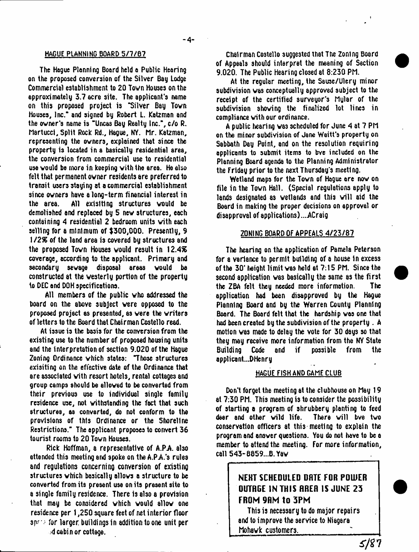The Hague Planning Board held a Public Hearing on the proposed conversion of the Silver Bay Lodge Commercial establishment to 20 Tovn Houses on the approximately 3.7 acre site. The applicant's name on this proposed project is "Silver Bay Tovn Houses, Inc." and signed by Robert L. Katzman and the ovner's name is "Uncas Bay Realty Inc.", c/o R. Martucci, Split Rock Rd., Hague, NY. Mr. Katzman, representing the ovners, explained that since the property is located in a basically residential area, the conversion from commercial use to residential use vould be more in keeping vith the area. He also felt that permanent ovner residents are preferred to transit users staying at a commercial establishment since ovners have a long-term financial interest in the area. All exislting structures vould be demolished and replaced by 5 nev structures, each containing 4 residential 2 bedroom units vith each selling for a minimum of \$300,000. Presently, 9 1 */ 2%* of the land area is covered by structures and the proposed Tovn Houses vould result in 12.4% coverage, according to the applicant. Primary and secondary sevage disposal areas vould be constructed at the vesterly portion of the property to DEC end DOH specifications.

All members of the public vho addressed the board on the above subject vere opposed to the proposed project as presented, as vere the vriters of letters to the Board that Chairman Costello read.

At issue is the basis for the conversion from the existing use to the number of proposed housing units and the interpretation of section 9.020 of the Hague Zoning Ordinance vhich states: "Those structures exisiting on the effective date of the Ordinance that are associated vith resort hotels, rental cottages and group camps should be alloved to be converted from their previous use to individual single family residence use, not vithstanding the fact that such structures, as converted, do not conform to the provisions of this Ordinance or the Shoreline Restrictions." The applicant proposes to convert 36 tourist rooms to 20 Tovn Houses.

Rick Hoffman, a representative of A.P.A. also attended this meeting and spoke on the A.PA's rules and regulations concerning conversion of existing structures vhich basically allovs a structure to be converted from its present use on its present site to a single family residence. There is also a provision that may be considered vhich vould allov one residence per 1,250 square feet of net interior floor  $s_{\text{max}}$  for larger buildings in addition to one unit per

.4 cabin or cottage.

**HAGUE PLANNING BOARD 5 / 7 / 6 7** Chairman Costello suggested that The Zoning Board of Appeals should interpret the meaning of Section 9.020. The Public Hearing closed at 8:230 PM.

> At the regular meeting, the Sause/Ulery minor subdivision vas conceptually approved subject to the receipt of the certified surveyor's Mular of the subdivision shoving the finalized lot lines in compliance vith our ordinance.

> A public hearing vas scheduled for June 4 at 7 PM on the minor subdivision of Jane Waitt's property on Sabbath Day Point, and on the resolution requiring applicants to submit items to bve included on the Planning Board agenda to the Planning Administrator the Friday prior to the next Thursday's meeting.

> Wetland maps for the Tovn of Hague are nov on file in the Tovn Hall. (Special regulations apply to lands designated as wetlands and this will aid the Board in making the proper decisions on approval or disapproval of applications) ....ACraig

#### ZONING BOARD OF APPEALS 4/23/87

The hearing on the application of Pamela Peterson for a variance to permit building of a house in excess of the 30\* height limit vas held at 7:15 PM. Since the second application vas basically the same as the first the Z6A felt they needed more information. The application had been disapproved by the Hague Planning Board and by the Warren County Planning Board. The Board felt that the hardship vas one that had been created by the subdivision of the property . A motion vas made to delay the vote for 30 days so that they may receive more information from the NY State Building Code and if possible from the applicant...DHenry

#### HAGUE FISH AND GAME CLUB

Don't forget the meeting at the clubhouse on May 19 at 7:30 PM. This meeting is to consider the possibility of starting a program of shrubbery planting to feed deer and other wild life. There will bve two conservation officers at this meeting to explain the program and ansver questions. You do not have to be a member to attend the meeting. For more information, call 543-B859...B.Yav

# **NEHT SCHEDULED DHTE FOR POWER OUTRGE IN THIS RRER IS JUNE 2 3 FROM 9RM to 3PM**

This is necessary to do major repairs and to improve the service to Niagara Mohavk customers.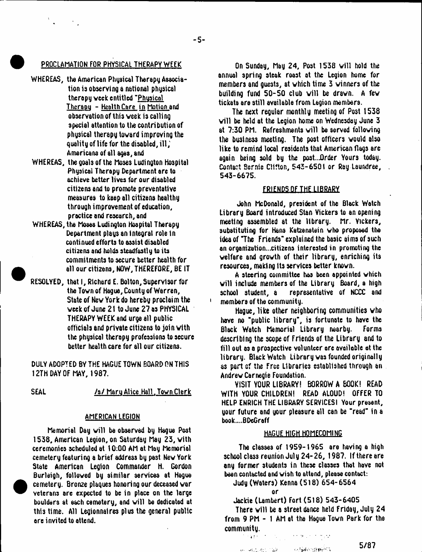# PROCLAMATION FOR PHYSICAL THERAPY WEEK

- WHEREAS, the American Physical Therapy Association is observing a national physical therapy week entitled "Physical Therapy - Health Care in Motion and observation of this week is calling special attention to the contribution of physical therapy tovard improving the quality of life for the disabled, ill; Americans of all ages, and
- WHEREAS, the goals of the Moses Ludington Hospital Physical Therapy Department are to achieve better lives for our disabled citizens and to promote preventative measures to keep all citizens healthy through improvement of education, procticc and research, and
- WHEREAS, the Moses Ludington Hospital Therapy Department plays an Integral role in continued efforts to assist disabled citizens and holds steadfastly to its commitments to secure better health for all our citizens, NOW, THEREFORE, BE IT
- RESOLVED, that I, Richard E. Bolton, Supervisor for the Tovn of Hague, County of Warren, State of New York do hereby proclaim the vcek of June 21 to June 27 os PHYSICAL THERAPY WEEK and urge all public officials and private citizens to join vith the physical therapy professions to secure better health care for all our citizens.

DULY ADOPTED BY THE HAGUE TOWN BOARD ON THIS 12TH DAY OF MAY, 1987.

SEAL /s/ Mary Alice Hall. Town Clerk

# AMERICAN LEGION

Memorial Day will be observed by Hague Post 1538, American Legion, on Saturday May 23, vith ceremonies scheduled at 10:00 AM at May Memorial cemetery featuring a brief address by past New York State American Legion Commander H. Gordon Burleigh, followed by similar services at Hague cemetery. Bronze plaques honoring our deceased var veterans are expected to be in place on the large boulders at each cemetery, and will be dedicated at this time. All Legionnaires plus the general public are invited to attend.

On Sunday, May 24, Post 1538 will hold the annual spring steak roast at the Legion home for members and guests, at vhich time 3 winners of the building fund  $50-50$  club will be drawn. A few tickets are still available from Legion members.

The next regular monthly meeting of Post 1538 will be held at the Legion home on Wednesday June 3 at 7:30 PM. Refreshments will be served following the business meeting. The post officers vould also like to remind local residents that American flags are again being sold by the post...Order Yours today. Contact Bernie Clifton, 543-6501 or Ray Laundree, 543-6675.

# FRIENDS OF THE LIBRARY

John McDonald, president of the Black Watch Library Board introduced Stan Vickers to an opening meeting assembled at the library. Mr. Vickers, substituting for Hans Katzenatein who proposed the idea of "The Friends" explained the basic aims of such on organization...citizens interested in promoting the velfare and grovth of their library, enriching its resources, making Its services better knovn.

A steering committee has been appointed vhich will include members of the Library Board, a high school student, a representative of NCCC and members of the community.

Hague, like other neighboring communities vho have no "public library", is fortunate to have the Black Watch Memorial Library nearby. Forms describing the scope of Friends of the Library and to fill out as a prospective volunteer are available at the library. Black Watch Library vas founded originally as part cf the Free Libraries established through an Andrew Carnegie Foundation.

VISIT YOUR LIBRARY! BORROW A BOOK! READ WITH YOUR CHILDREN! READ ALOUD! OFFER TO HELP ENRICH THE LIBRARY SERVICESI Your present, your future and your pleasure all can be "read" in a book....BDeGraff

# HAGUE HIGH HOMECOMING

The classes of 1959-1965 are having a high school class reunion July 24-26, 1987. If there are any former students in these classes that have not been contacted and wish to attend, please contact:

Judy (Waters) Kenna (518) 654-6564

Jackie (Lambert) Fort (518) 543-6405

There will be a street dance held Friday, July 24 from 9 PM - 1 AM at the Hague Tovn Park for the community.

医加林尼氏 化四氢酸

**RAY ARCOURSES TOWERS** ം പിള്ളിക്കളിയിലെ പ

 $-11.7$ 

or

 $5/87$ 

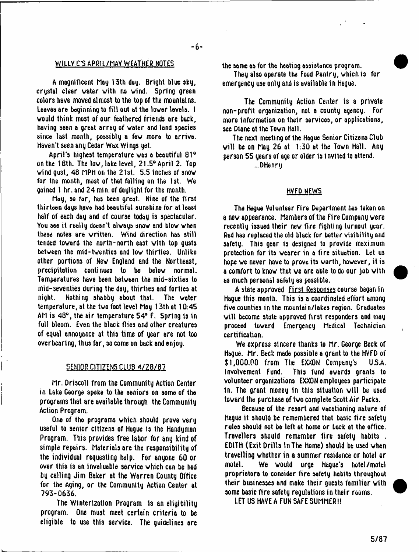# W1LLV C'S APRIL/MAY WEATHER NOTES

A magnificent May 13th day. Bright blue sky, crystal clear water with no wind. Spring green colors have moved almost to the top of the mountains. Leaves are beginning to fill out at the lower levels. I would think most of our feathered friends are back, having seen a great array of water and land species since last month, possibly a few more to arriva. haven't seen any Cedar Wax Wings yet.

April's highest temperature was a beautiful 81° on the 18th. The low, lake level, 21.5° April 2. Top wind qust, 48 MPH on the  $21st$ . 5.5 inches of snow for the month, most of that falling on the 1st. We gained 1 hr. and 24 min. of daylight for the month.

May, so far, has been great. Nine of the first thirteen days have had beautiful sunshine for at least half of each day and of course today is spectacular. You see it really doesn't always snow and blow when these notes are written. Wind direction has still tended toward the north-north east with top gusts between the mid-twenties and low thirties. Unlike other portions of New England and the Northeast, precipitation continues to be below normal. Temperatures have been between the mid-sixties to mid-seventies during the day, thirties and forties at night. Nothing shabby about that. The water temperature, at the two foot level May 13th at 10:45 AM is 48°, the air temperature 54° F. Spring is in full bloom. Even the black flies and other creatures of equal annoyance at this time of year are not too overbearing, thus far, so come on back and enjoy.

#### SENIOR CITIZENS CLUB 4/28/87

Mr. Driscoll from the Community Action Center in Lake George spoke to the seniors on some of the programs that are available through the Community Action Program.

One of the programs which should prove very useful to senior citizens of Hague is the Handyman Program. This provides free labor for any kind of simple repairs. Materials are the responsibility of the individual requesting help. For anyone 60 or over this is an invaluable service which can be had by calling Jim Baker at the Warren County Office for the Aging, or the Community Action Center at 793-0636.

The Winterization Program is an eligibility program. One must meet certain criteria to be eligible to use this service. The guidelines are the same as for the heating assistance program.

They also operate the Food Pantry, which is for emergency use only and is available in Hague.

The Community Action Center is a private non-profit organization, not a county agency. For more information on their services, or applications, see Diane at the Tovn Hall.

The next meeting of the Hague Senior Citizens Club will be on May 26 at  $1:30$  at the Town Hall. Any person 55 years of age or older is invited to attend.

...D Henry

## HVFD NEWS

The Hague Volunteer Fire Department has taken on a new appearance. Members of the Fire Company vere recently issued their new fire fighting turnout year. Red has replaced the old black for better visibility and safety. This gear is designed to provide maximum protection for its wearer in a fire situation. Let us hope we never have to prove its worth, however, it is a comfort to know that we are able to do our job with as much personal safety as possible.

A state approved First Responses course began in Hague this month. This is a coordinated effort among five counties in the mountain/lakes region. Graduates will become state approved first responders and may proceed toward Emergency Medical Technician certification.

We express sincere thanks to Mr. George Beck of Hague. Mr. Beck made possible a grant to the HVFD of \$ 1,000.00 from The EXXON Company's U.S.A. Involvement Fund. This fund awards grants to volunteer organizations EXXON employees participate in. The grant money in this situation will be used toward the purchase of two complete Scott Air Packs.

Because of the resort and vacationing nature of Hague it should be remembered that basic fire safety rules should not be left at home or back at the office. Travellers should remember fire safety habits . EDITH (Exit Drills In The Home) should be used when travelling whether in a summer residence or hotel or motel. We vould urge Hague's hotel /motel proprietors to consider fire safety habits throughout their businesses and make their guests familiar vith some basic fire safety regulations in their rooms.

LET US HAVE A FUN SAFE SUMMER!!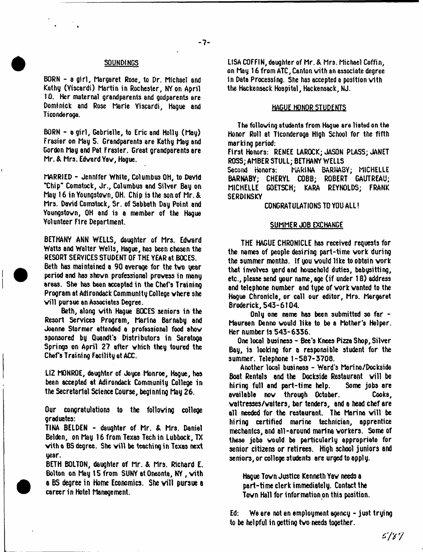#### SOUNDINGS

BORN - a girl, Margaret Rose, to Dr. Michael and Kathy (Yiacardi) Martin in Rochester, NY on April 10. Her maternal grandparents and godparents are Dominick and Rose Marie Viscardi, Hague and Ticonderoga.

BORN - a girl, Gabrielle, to Eric and Holly (May) Frasier on May 5. Grandparents are Kathy May and Gordon Mag and Pat Frasier. Great grandparents are Mr. & Mrs. Edvard Yav, Hague.

MARRIED - Jennifer White, Columbus OH, to DaYld "Chip" Comstock, Jr., Columbus and Silver Bay on May 16 in Youngstown, OH. Chip is the son of Mr. & Mrs. David Comstock, Sr. of Sabbath Day Point and Youngstown, OH and is a member of the Hsgue Volunteer Fire Department.

BETHANY ANN WELLS, daughter of Mrs. Edvard Watts and Walter Wells, Hague, has been chosen the RESORT SERVICES STUDENT OF THE YEAR at BOCES.

Beth has maintained a 90 average for the two year period and has shown professional prowess in many areas. She has been accepted in the Chef's Training Program at Adirondack Community College where she will pursue an Associates Degree.

Beth, along vith Hague BOCES seniors in the Resort Services Program, Marina Barnaby and Joanne Stormer attended a professional food show sponsored by Quandt's Distributors in Saratoga Springs on April 27 after which they toured the Chefs Training Facility at ACC.

LIZ MONROE, daughter of Joyce Monroe, Hague, has been accepted at Adirondack Community College in the Secretarial Science Course, beginning May 26.

Our congratulations to the following college graduates:

TINA BELDEN - daughter of Mr. & Mrs. Daniel Belden, on May 16 from Texas Tech in Lubbock, TX with a BS degree. She will be teaching in Texas next year.

BETH BOLTON, daughter of Mr. & Mrs. Richard E. Bolton on May 15 from SUNY et Oneonte, NY, with a BS degree in Home Economics. She will pursue a career in Hotel Management.

LISA COFFIN, daughter of Mr.& Mrs. Michael Coffin, on May 16 from ATC, Canton vith an associate degree in Data Processing. She has accepted a position with the Hackensack Hospital, Hackensack, NJ.

## HAGUE HONOR STUDENTS

The following students from Hague are listed on the Honor Roll at Ticonderoga High School for the fifth marking period:

First Honors: RENEE LAROCK; JASON PLASS; JANET ROSS; AMBER STULL; BETHANY WELLS<br>Second Honors: PHARINA BARNAB

Second Honors: MARINA BARNABY; MICHELLE BARNABY; CHERYL COBB; ROBERT GAUTREAU; MICHELLE GOETSCH; KARA REYNOLDS; FRANK **SERDINSKY** 

# CONGRATULATIONS TO YOU ALL!

# SUMMER JOB EXCHANGE

THE HAGUE CHRONICLE has received requests for the names of people desiring part-time work during the summer months. If you vould like to obtain vork that involves yard and household duties, babysitting, etc., please send your name, age (if under 18) address and telephone number and type of vork vanted to the Hague Chronicle, or call our editor, Mrs. Margaret Broderick, 543-6104.

Only one name has been submitted so far - Maureen Denno vould like to be a Mother's Helper. Her number ts 543-6336.

One local business - Bee's Knees Pizza Shop, Silver Bay, is looking for a responsible student for the summer. Telephone 1-587-3708.

Another local business - Ward's Merina/Dockside Boat Rentals and the Dockside Restaurant will be hiring full and part-time help. Some jobs are hiring full and part-time help. available nov through October. Cooks, vaitresses/vaiters, bar tenders, and a head chef are all needed for the restaurant. The Marina will be hiring certified marine technician, apprentice mechanics, and all-around marina workers. Some of these jobs would be particularly appropriate for senior citizens or retirees. High school juniors and seniors, or college students are urged to apply.

Hague Tovn Justice Kenneth Yav needs a part-time clerk immediately. Contact the Town Hall for information on this position.

Ed: We are not an employment agency - just trying to be helpful in getting two needs together.